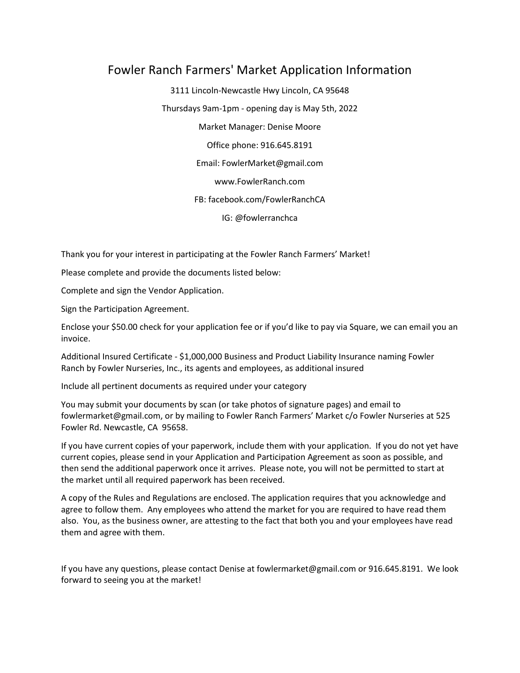# Fowler Ranch Farmers' Market Application Information

3111 Lincoln-Newcastle Hwy Lincoln, CA 95648 Thursdays 9am-1pm - opening day is May 5th, 2022 Market Manager: Denise Moore Office phone: 916.645.8191 Email: FowlerMarket@gmail.com www.FowlerRanch.com FB: facebook.com/FowlerRanchCA IG: @fowlerranchca

Thank you for your interest in participating at the Fowler Ranch Farmers' Market!

Please complete and provide the documents listed below:

Complete and sign the Vendor Application.

Sign the Participation Agreement.

Enclose your \$50.00 check for your application fee or if you'd like to pay via Square, we can email you an invoice.

Additional Insured Certificate - \$1,000,000 Business and Product Liability Insurance naming Fowler Ranch by Fowler Nurseries, Inc., its agents and employees, as additional insured

Include all pertinent documents as required under your category

You may submit your documents by scan (or take photos of signature pages) and email to fowlermarket@gmail.com, or by mailing to Fowler Ranch Farmers' Market c/o Fowler Nurseries at 525 Fowler Rd. Newcastle, CA 95658.

If you have current copies of your paperwork, include them with your application. If you do not yet have current copies, please send in your Application and Participation Agreement as soon as possible, and then send the additional paperwork once it arrives. Please note, you will not be permitted to start at the market until all required paperwork has been received.

A copy of the Rules and Regulations are enclosed. The application requires that you acknowledge and agree to follow them. Any employees who attend the market for you are required to have read them also. You, as the business owner, are attesting to the fact that both you and your employees have read them and agree with them.

If you have any questions, please contact Denise at fowlermarket@gmail.com or 916.645.8191. We look forward to seeing you at the market!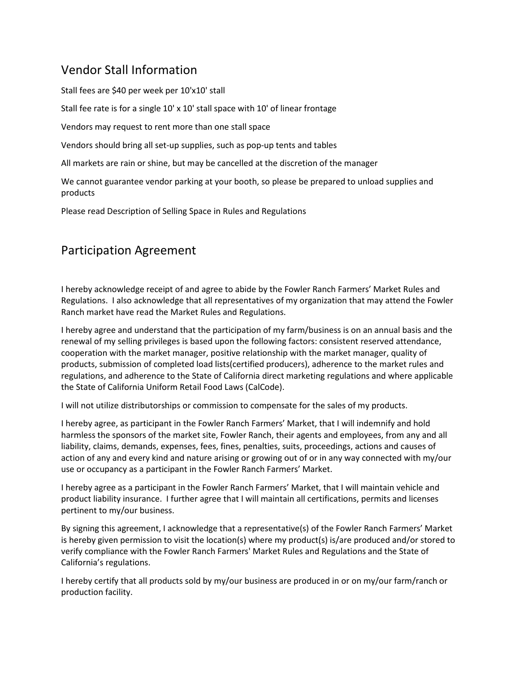# Vendor Stall Information

Stall fees are \$40 per week per 10'x10' stall

Stall fee rate is for a single 10' x 10' stall space with 10' of linear frontage

Vendors may request to rent more than one stall space

Vendors should bring all set-up supplies, such as pop-up tents and tables

All markets are rain or shine, but may be cancelled at the discretion of the manager

We cannot guarantee vendor parking at your booth, so please be prepared to unload supplies and products

Please read Description of Selling Space in Rules and Regulations

# Participation Agreement

I hereby acknowledge receipt of and agree to abide by the Fowler Ranch Farmers' Market Rules and Regulations. I also acknowledge that all representatives of my organization that may attend the Fowler Ranch market have read the Market Rules and Regulations.

I hereby agree and understand that the participation of my farm/business is on an annual basis and the renewal of my selling privileges is based upon the following factors: consistent reserved attendance, cooperation with the market manager, positive relationship with the market manager, quality of products, submission of completed load lists(certified producers), adherence to the market rules and regulations, and adherence to the State of California direct marketing regulations and where applicable the State of California Uniform Retail Food Laws (CalCode).

I will not utilize distributorships or commission to compensate for the sales of my products.

I hereby agree, as participant in the Fowler Ranch Farmers' Market, that I will indemnify and hold harmless the sponsors of the market site, Fowler Ranch, their agents and employees, from any and all liability, claims, demands, expenses, fees, fines, penalties, suits, proceedings, actions and causes of action of any and every kind and nature arising or growing out of or in any way connected with my/our use or occupancy as a participant in the Fowler Ranch Farmers' Market.

I hereby agree as a participant in the Fowler Ranch Farmers' Market, that I will maintain vehicle and product liability insurance. I further agree that I will maintain all certifications, permits and licenses pertinent to my/our business.

By signing this agreement, I acknowledge that a representative(s) of the Fowler Ranch Farmers' Market is hereby given permission to visit the location(s) where my product(s) is/are produced and/or stored to verify compliance with the Fowler Ranch Farmers' Market Rules and Regulations and the State of California's regulations.

I hereby certify that all products sold by my/our business are produced in or on my/our farm/ranch or production facility.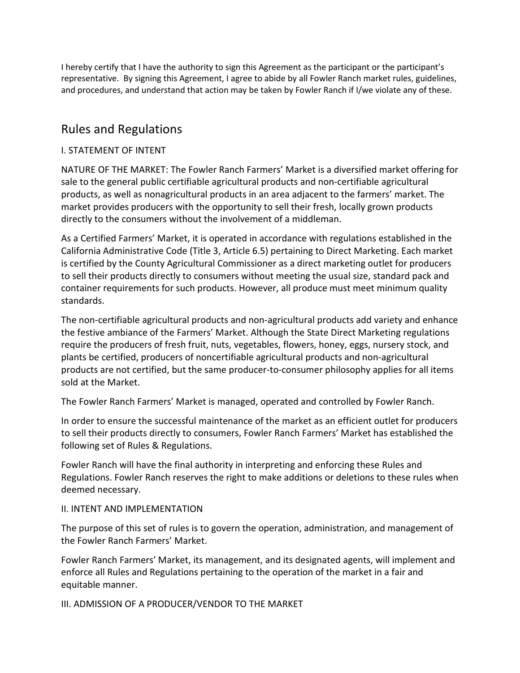I hereby certify that I have the authority to sign this Agreement as the participant or the participant's representative. By signing this Agreement, I agree to abide by all Fowler Ranch market rules, guidelines, and procedures, and understand that action may be taken by Fowler Ranch if I/we violate any of these.

# Rules and Regulations

#### I. STATEMENT OF INTENT

NATURE OF THE MARKET: The Fowler Ranch Farmers' Market is a diversified market offering for sale to the general public certifiable agricultural products and non-certifiable agricultural products, as well as nonagricultural products in an area adjacent to the farmers' market. The market provides producers with the opportunity to sell their fresh, locally grown products directly to the consumers without the involvement of a middleman.

As a Certified Farmers' Market, it is operated in accordance with regulations established in the California Administrative Code (Title 3, Article 6.5) pertaining to Direct Marketing. Each market is certified by the County Agricultural Commissioner as a direct marketing outlet for producers to sell their products directly to consumers without meeting the usual size, standard pack and container requirements for such products. However, all produce must meet minimum quality standards.

The non-certifiable agricultural products and non-agricultural products add variety and enhance the festive ambiance of the Farmers' Market. Although the State Direct Marketing regulations require the producers of fresh fruit, nuts, vegetables, flowers, honey, eggs, nursery stock, and plants be certified, producers of noncertifiable agricultural products and non-agricultural products are not certified, but the same producer-to-consumer philosophy applies for all items sold at the Market.

The Fowler Ranch Farmers' Market is managed, operated and controlled by Fowler Ranch.

In order to ensure the successful maintenance of the market as an efficient outlet for producers to sell their products directly to consumers, Fowler Ranch Farmers' Market has established the following set of Rules & Regulations.

Fowler Ranch will have the final authority in interpreting and enforcing these Rules and Regulations. Fowler Ranch reserves the right to make additions or deletions to these rules when deemed necessary.

#### II. INTENT AND IMPLEMENTATION

The purpose of this set of rules is to govern the operation, administration, and management of the Fowler Ranch Farmers' Market.

Fowler Ranch Farmers' Market, its management, and its designated agents, will implement and enforce all Rules and Regulations pertaining to the operation of the market in a fair and equitable manner.

III. ADMISSION OF A PRODUCER/VENDOR TO THE MARKET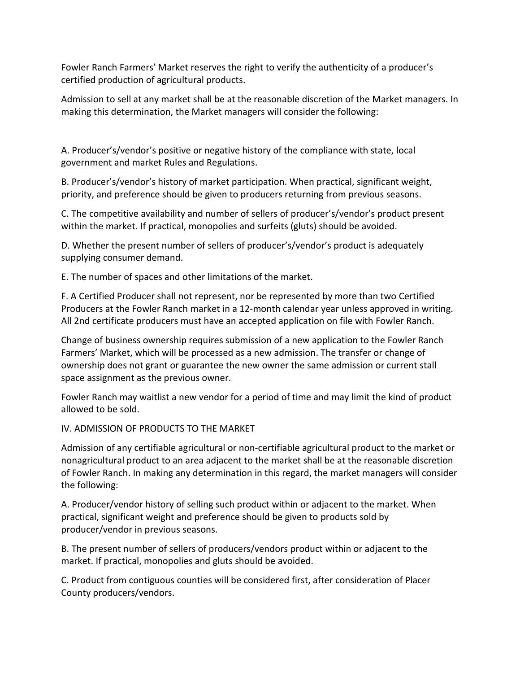Fowler Ranch Farmers' Market reserves the right to verify the authenticity of a producer's certified production of agricultural products.

Admission to sell at any market shall be at the reasonable discretion of the Market managers. In making this determination, the Market managers will consider the following:

A. Producer's/vendor's positive or negative history of the compliance with state, local government and market Rules and Regulations.

B. Producer's/vendor's history of market participation. When practical, significant weight, priority, and preference should be given to producers returning from previous seasons.

C. The competitive availability and number of sellers of producer's/vendor's product present within the market. If practical, monopolies and surfeits (gluts) should be avoided.

D. Whether the present number of sellers of producer's/vendor's product is adequately supplying consumer demand.

E. The number of spaces and other limitations of the market.

F. A Certified Producer shall not represent, nor be represented by more than two Certified Producers at the Fowler Ranch market in a 12-month calendar year unless approved in writing. All 2nd certificate producers must have an accepted application on file with Fowler Ranch.

Change of business ownership requires submission of a new application to the Fowler Ranch Farmers' Market, which will be processed as a new admission. The transfer or change of ownership does not grant or guarantee the new owner the same admission or current stall space assignment as the previous owner.

Fowler Ranch may waitlist a new vendor for a period of time and may limit the kind of product allowed to be sold.

IV. ADMISSION OF PRODUCTS TO THE MARKET

Admission of any certifiable agricultural or non-certifiable agricultural product to the market or nonagricultural product to an area adjacent to the market shall be at the reasonable discretion of Fowler Ranch. In making any determination in this regard, the market managers will consider the following:

A. Producer/vendor history of selling such product within or adjacent to the market. When practical, significant weight and preference should be given to products sold by producer/vendor in previous seasons.

B. The present number of sellers of producers/vendors product within or adjacent to the market. If practical, monopolies and gluts should be avoided.

C. Product from contiguous counties will be considered first, after consideration of Placer County producers/vendors.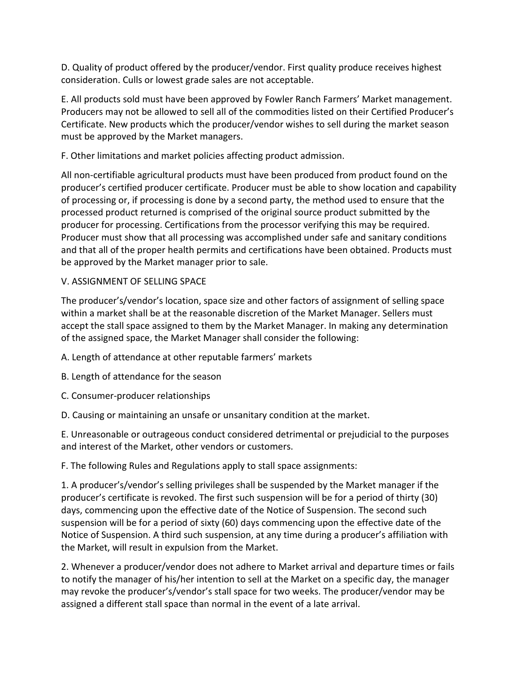D. Quality of product offered by the producer/vendor. First quality produce receives highest consideration. Culls or lowest grade sales are not acceptable.

E. All products sold must have been approved by Fowler Ranch Farmers' Market management. Producers may not be allowed to sell all of the commodities listed on their Certified Producer's Certificate. New products which the producer/vendor wishes to sell during the market season must be approved by the Market managers.

F. Other limitations and market policies affecting product admission.

All non-certifiable agricultural products must have been produced from product found on the producer's certified producer certificate. Producer must be able to show location and capability of processing or, if processing is done by a second party, the method used to ensure that the processed product returned is comprised of the original source product submitted by the producer for processing. Certifications from the processor verifying this may be required. Producer must show that all processing was accomplished under safe and sanitary conditions and that all of the proper health permits and certifications have been obtained. Products must be approved by the Market manager prior to sale.

# V. ASSIGNMENT OF SELLING SPACE

The producer's/vendor's location, space size and other factors of assignment of selling space within a market shall be at the reasonable discretion of the Market Manager. Sellers must accept the stall space assigned to them by the Market Manager. In making any determination of the assigned space, the Market Manager shall consider the following:

- A. Length of attendance at other reputable farmers' markets
- B. Length of attendance for the season
- C. Consumer-producer relationships
- D. Causing or maintaining an unsafe or unsanitary condition at the market.

E. Unreasonable or outrageous conduct considered detrimental or prejudicial to the purposes and interest of the Market, other vendors or customers.

F. The following Rules and Regulations apply to stall space assignments:

1. A producer's/vendor's selling privileges shall be suspended by the Market manager if the producer's certificate is revoked. The first such suspension will be for a period of thirty (30) days, commencing upon the effective date of the Notice of Suspension. The second such suspension will be for a period of sixty (60) days commencing upon the effective date of the Notice of Suspension. A third such suspension, at any time during a producer's affiliation with the Market, will result in expulsion from the Market.

2. Whenever a producer/vendor does not adhere to Market arrival and departure times or fails to notify the manager of his/her intention to sell at the Market on a specific day, the manager may revoke the producer's/vendor's stall space for two weeks. The producer/vendor may be assigned a different stall space than normal in the event of a late arrival.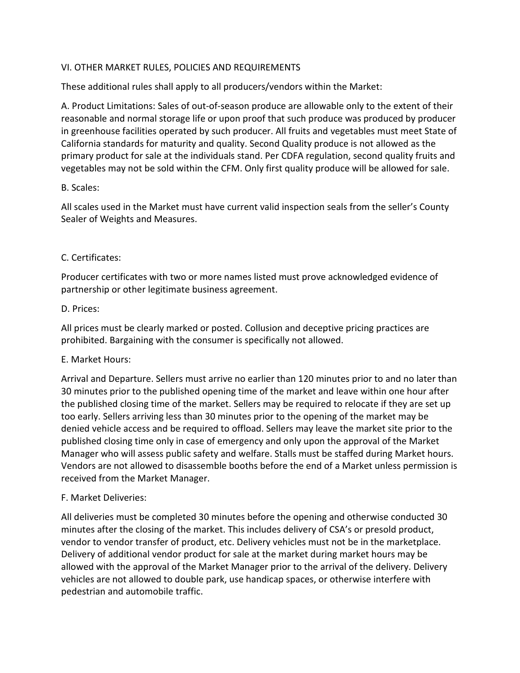# VI. OTHER MARKET RULES, POLICIES AND REQUIREMENTS

These additional rules shall apply to all producers/vendors within the Market:

A. Product Limitations: Sales of out-of-season produce are allowable only to the extent of their reasonable and normal storage life or upon proof that such produce was produced by producer in greenhouse facilities operated by such producer. All fruits and vegetables must meet State of California standards for maturity and quality. Second Quality produce is not allowed as the primary product for sale at the individuals stand. Per CDFA regulation, second quality fruits and vegetables may not be sold within the CFM. Only first quality produce will be allowed for sale.

# B. Scales:

All scales used in the Market must have current valid inspection seals from the seller's County Sealer of Weights and Measures.

# C. Certificates:

Producer certificates with two or more names listed must prove acknowledged evidence of partnership or other legitimate business agreement.

#### D. Prices:

All prices must be clearly marked or posted. Collusion and deceptive pricing practices are prohibited. Bargaining with the consumer is specifically not allowed.

# E. Market Hours:

Arrival and Departure. Sellers must arrive no earlier than 120 minutes prior to and no later than 30 minutes prior to the published opening time of the market and leave within one hour after the published closing time of the market. Sellers may be required to relocate if they are set up too early. Sellers arriving less than 30 minutes prior to the opening of the market may be denied vehicle access and be required to offload. Sellers may leave the market site prior to the published closing time only in case of emergency and only upon the approval of the Market Manager who will assess public safety and welfare. Stalls must be staffed during Market hours. Vendors are not allowed to disassemble booths before the end of a Market unless permission is received from the Market Manager.

# F. Market Deliveries:

All deliveries must be completed 30 minutes before the opening and otherwise conducted 30 minutes after the closing of the market. This includes delivery of CSA's or presold product, vendor to vendor transfer of product, etc. Delivery vehicles must not be in the marketplace. Delivery of additional vendor product for sale at the market during market hours may be allowed with the approval of the Market Manager prior to the arrival of the delivery. Delivery vehicles are not allowed to double park, use handicap spaces, or otherwise interfere with pedestrian and automobile traffic.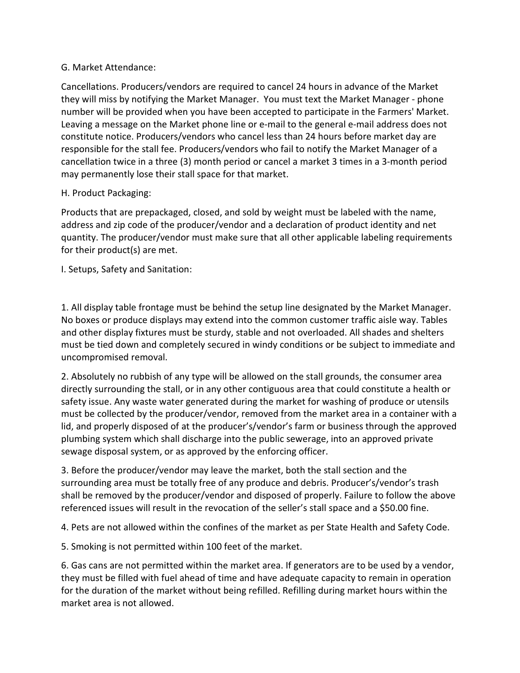### G. Market Attendance:

Cancellations. Producers/vendors are required to cancel 24 hours in advance of the Market they will miss by notifying the Market Manager. You must text the Market Manager - phone number will be provided when you have been accepted to participate in the Farmers' Market. Leaving a message on the Market phone line or e-mail to the general e-mail address does not constitute notice. Producers/vendors who cancel less than 24 hours before market day are responsible for the stall fee. Producers/vendors who fail to notify the Market Manager of a cancellation twice in a three (3) month period or cancel a market 3 times in a 3-month period may permanently lose their stall space for that market.

#### H. Product Packaging:

Products that are prepackaged, closed, and sold by weight must be labeled with the name, address and zip code of the producer/vendor and a declaration of product identity and net quantity. The producer/vendor must make sure that all other applicable labeling requirements for their product(s) are met.

I. Setups, Safety and Sanitation:

1. All display table frontage must be behind the setup line designated by the Market Manager. No boxes or produce displays may extend into the common customer traffic aisle way. Tables and other display fixtures must be sturdy, stable and not overloaded. All shades and shelters must be tied down and completely secured in windy conditions or be subject to immediate and uncompromised removal.

2. Absolutely no rubbish of any type will be allowed on the stall grounds, the consumer area directly surrounding the stall, or in any other contiguous area that could constitute a health or safety issue. Any waste water generated during the market for washing of produce or utensils must be collected by the producer/vendor, removed from the market area in a container with a lid, and properly disposed of at the producer's/vendor's farm or business through the approved plumbing system which shall discharge into the public sewerage, into an approved private sewage disposal system, or as approved by the enforcing officer.

3. Before the producer/vendor may leave the market, both the stall section and the surrounding area must be totally free of any produce and debris. Producer's/vendor's trash shall be removed by the producer/vendor and disposed of properly. Failure to follow the above referenced issues will result in the revocation of the seller's stall space and a \$50.00 fine.

4. Pets are not allowed within the confines of the market as per State Health and Safety Code.

5. Smoking is not permitted within 100 feet of the market.

6. Gas cans are not permitted within the market area. If generators are to be used by a vendor, they must be filled with fuel ahead of time and have adequate capacity to remain in operation for the duration of the market without being refilled. Refilling during market hours within the market area is not allowed.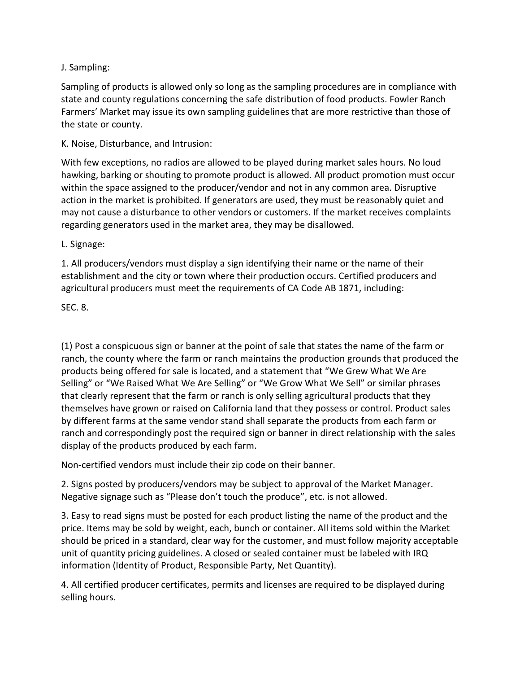# J. Sampling:

Sampling of products is allowed only so long as the sampling procedures are in compliance with state and county regulations concerning the safe distribution of food products. Fowler Ranch Farmers' Market may issue its own sampling guidelines that are more restrictive than those of the state or county.

K. Noise, Disturbance, and Intrusion:

With few exceptions, no radios are allowed to be played during market sales hours. No loud hawking, barking or shouting to promote product is allowed. All product promotion must occur within the space assigned to the producer/vendor and not in any common area. Disruptive action in the market is prohibited. If generators are used, they must be reasonably quiet and may not cause a disturbance to other vendors or customers. If the market receives complaints regarding generators used in the market area, they may be disallowed.

L. Signage:

1. All producers/vendors must display a sign identifying their name or the name of their establishment and the city or town where their production occurs. Certified producers and agricultural producers must meet the requirements of CA Code AB 1871, including:

SEC. 8.

(1) Post a conspicuous sign or banner at the point of sale that states the name of the farm or ranch, the county where the farm or ranch maintains the production grounds that produced the products being offered for sale is located, and a statement that "We Grew What We Are Selling" or "We Raised What We Are Selling" or "We Grow What We Sell" or similar phrases that clearly represent that the farm or ranch is only selling agricultural products that they themselves have grown or raised on California land that they possess or control. Product sales by different farms at the same vendor stand shall separate the products from each farm or ranch and correspondingly post the required sign or banner in direct relationship with the sales display of the products produced by each farm.

Non-certified vendors must include their zip code on their banner.

2. Signs posted by producers/vendors may be subject to approval of the Market Manager. Negative signage such as "Please don't touch the produce", etc. is not allowed.

3. Easy to read signs must be posted for each product listing the name of the product and the price. Items may be sold by weight, each, bunch or container. All items sold within the Market should be priced in a standard, clear way for the customer, and must follow majority acceptable unit of quantity pricing guidelines. A closed or sealed container must be labeled with IRQ information (Identity of Product, Responsible Party, Net Quantity).

4. All certified producer certificates, permits and licenses are required to be displayed during selling hours.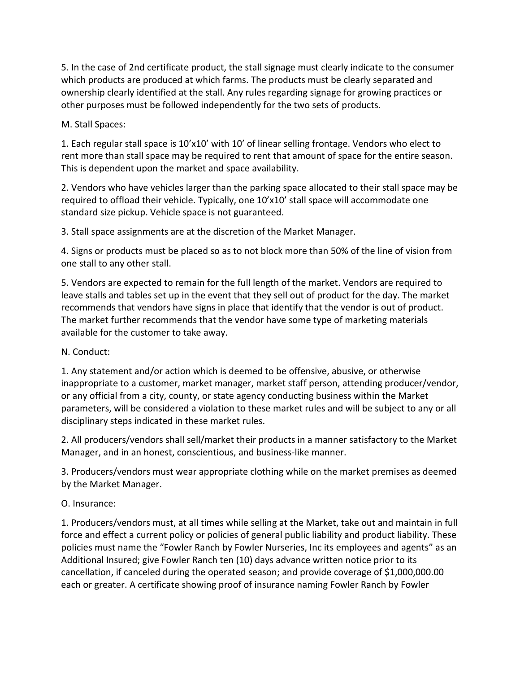5. In the case of 2nd certificate product, the stall signage must clearly indicate to the consumer which products are produced at which farms. The products must be clearly separated and ownership clearly identified at the stall. Any rules regarding signage for growing practices or other purposes must be followed independently for the two sets of products.

M. Stall Spaces:

1. Each regular stall space is 10'x10' with 10' of linear selling frontage. Vendors who elect to rent more than stall space may be required to rent that amount of space for the entire season. This is dependent upon the market and space availability.

2. Vendors who have vehicles larger than the parking space allocated to their stall space may be required to offload their vehicle. Typically, one 10'x10' stall space will accommodate one standard size pickup. Vehicle space is not guaranteed.

3. Stall space assignments are at the discretion of the Market Manager.

4. Signs or products must be placed so as to not block more than 50% of the line of vision from one stall to any other stall.

5. Vendors are expected to remain for the full length of the market. Vendors are required to leave stalls and tables set up in the event that they sell out of product for the day. The market recommends that vendors have signs in place that identify that the vendor is out of product. The market further recommends that the vendor have some type of marketing materials available for the customer to take away.

# N. Conduct:

1. Any statement and/or action which is deemed to be offensive, abusive, or otherwise inappropriate to a customer, market manager, market staff person, attending producer/vendor, or any official from a city, county, or state agency conducting business within the Market parameters, will be considered a violation to these market rules and will be subject to any or all disciplinary steps indicated in these market rules.

2. All producers/vendors shall sell/market their products in a manner satisfactory to the Market Manager, and in an honest, conscientious, and business-like manner.

3. Producers/vendors must wear appropriate clothing while on the market premises as deemed by the Market Manager.

# O. Insurance:

1. Producers/vendors must, at all times while selling at the Market, take out and maintain in full force and effect a current policy or policies of general public liability and product liability. These policies must name the "Fowler Ranch by Fowler Nurseries, Inc its employees and agents" as an Additional Insured; give Fowler Ranch ten (10) days advance written notice prior to its cancellation, if canceled during the operated season; and provide coverage of \$1,000,000.00 each or greater. A certificate showing proof of insurance naming Fowler Ranch by Fowler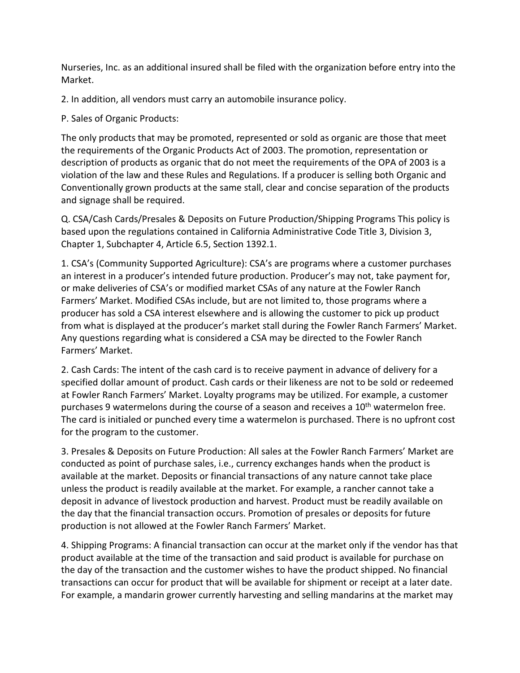Nurseries, Inc. as an additional insured shall be filed with the organization before entry into the Market.

2. In addition, all vendors must carry an automobile insurance policy.

# P. Sales of Organic Products:

The only products that may be promoted, represented or sold as organic are those that meet the requirements of the Organic Products Act of 2003. The promotion, representation or description of products as organic that do not meet the requirements of the OPA of 2003 is a violation of the law and these Rules and Regulations. If a producer is selling both Organic and Conventionally grown products at the same stall, clear and concise separation of the products and signage shall be required.

Q. CSA/Cash Cards/Presales & Deposits on Future Production/Shipping Programs This policy is based upon the regulations contained in California Administrative Code Title 3, Division 3, Chapter 1, Subchapter 4, Article 6.5, Section 1392.1.

1. CSA's (Community Supported Agriculture): CSA's are programs where a customer purchases an interest in a producer's intended future production. Producer's may not, take payment for, or make deliveries of CSA's or modified market CSAs of any nature at the Fowler Ranch Farmers' Market. Modified CSAs include, but are not limited to, those programs where a producer has sold a CSA interest elsewhere and is allowing the customer to pick up product from what is displayed at the producer's market stall during the Fowler Ranch Farmers' Market. Any questions regarding what is considered a CSA may be directed to the Fowler Ranch Farmers' Market.

2. Cash Cards: The intent of the cash card is to receive payment in advance of delivery for a specified dollar amount of product. Cash cards or their likeness are not to be sold or redeemed at Fowler Ranch Farmers' Market. Loyalty programs may be utilized. For example, a customer purchases 9 watermelons during the course of a season and receives a  $10<sup>th</sup>$  watermelon free. The card is initialed or punched every time a watermelon is purchased. There is no upfront cost for the program to the customer.

3. Presales & Deposits on Future Production: All sales at the Fowler Ranch Farmers' Market are conducted as point of purchase sales, i.e., currency exchanges hands when the product is available at the market. Deposits or financial transactions of any nature cannot take place unless the product is readily available at the market. For example, a rancher cannot take a deposit in advance of livestock production and harvest. Product must be readily available on the day that the financial transaction occurs. Promotion of presales or deposits for future production is not allowed at the Fowler Ranch Farmers' Market.

4. Shipping Programs: A financial transaction can occur at the market only if the vendor has that product available at the time of the transaction and said product is available for purchase on the day of the transaction and the customer wishes to have the product shipped. No financial transactions can occur for product that will be available for shipment or receipt at a later date. For example, a mandarin grower currently harvesting and selling mandarins at the market may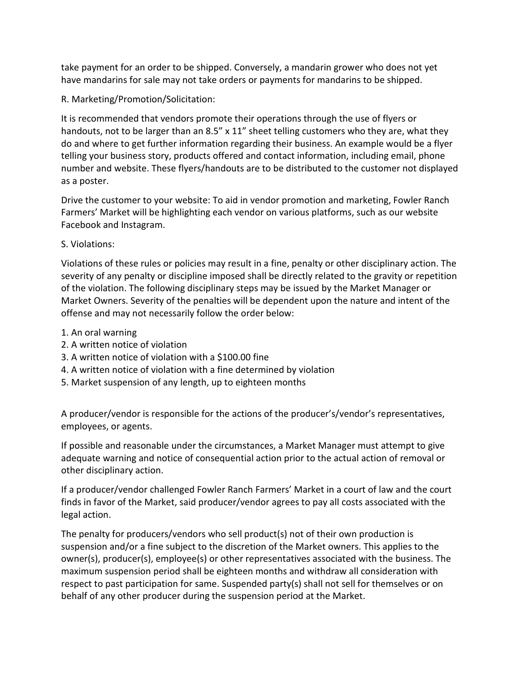take payment for an order to be shipped. Conversely, a mandarin grower who does not yet have mandarins for sale may not take orders or payments for mandarins to be shipped.

### R. Marketing/Promotion/Solicitation:

It is recommended that vendors promote their operations through the use of flyers or handouts, not to be larger than an 8.5" x 11" sheet telling customers who they are, what they do and where to get further information regarding their business. An example would be a flyer telling your business story, products offered and contact information, including email, phone number and website. These flyers/handouts are to be distributed to the customer not displayed as a poster.

Drive the customer to your website: To aid in vendor promotion and marketing, Fowler Ranch Farmers' Market will be highlighting each vendor on various platforms, such as our website Facebook and Instagram.

#### S. Violations:

Violations of these rules or policies may result in a fine, penalty or other disciplinary action. The severity of any penalty or discipline imposed shall be directly related to the gravity or repetition of the violation. The following disciplinary steps may be issued by the Market Manager or Market Owners. Severity of the penalties will be dependent upon the nature and intent of the offense and may not necessarily follow the order below:

- 1. An oral warning
- 2. A written notice of violation
- 3. A written notice of violation with a \$100.00 fine
- 4. A written notice of violation with a fine determined by violation
- 5. Market suspension of any length, up to eighteen months

A producer/vendor is responsible for the actions of the producer's/vendor's representatives, employees, or agents.

If possible and reasonable under the circumstances, a Market Manager must attempt to give adequate warning and notice of consequential action prior to the actual action of removal or other disciplinary action.

If a producer/vendor challenged Fowler Ranch Farmers' Market in a court of law and the court finds in favor of the Market, said producer/vendor agrees to pay all costs associated with the legal action.

The penalty for producers/vendors who sell product(s) not of their own production is suspension and/or a fine subject to the discretion of the Market owners. This applies to the owner(s), producer(s), employee(s) or other representatives associated with the business. The maximum suspension period shall be eighteen months and withdraw all consideration with respect to past participation for same. Suspended party(s) shall not sell for themselves or on behalf of any other producer during the suspension period at the Market.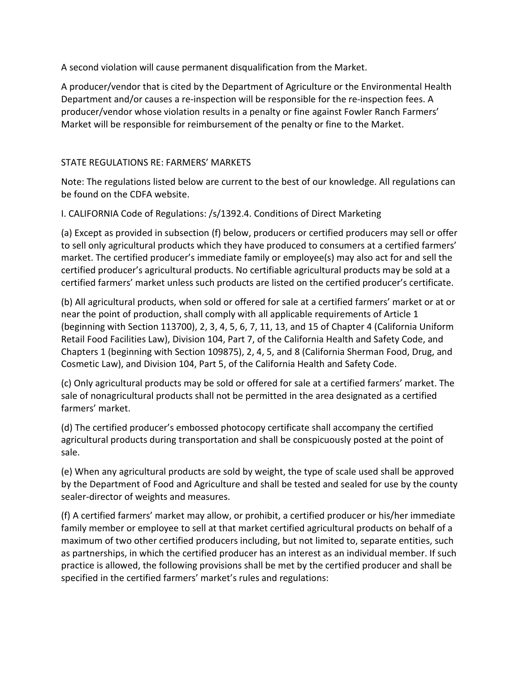A second violation will cause permanent disqualification from the Market.

A producer/vendor that is cited by the Department of Agriculture or the Environmental Health Department and/or causes a re-inspection will be responsible for the re-inspection fees. A producer/vendor whose violation results in a penalty or fine against Fowler Ranch Farmers' Market will be responsible for reimbursement of the penalty or fine to the Market.

#### STATE REGULATIONS RE: FARMERS' MARKETS

Note: The regulations listed below are current to the best of our knowledge. All regulations can be found on the CDFA website.

I. CALIFORNIA Code of Regulations: /s/1392.4. Conditions of Direct Marketing

(a) Except as provided in subsection (f) below, producers or certified producers may sell or offer to sell only agricultural products which they have produced to consumers at a certified farmers' market. The certified producer's immediate family or employee(s) may also act for and sell the certified producer's agricultural products. No certifiable agricultural products may be sold at a certified farmers' market unless such products are listed on the certified producer's certificate.

(b) All agricultural products, when sold or offered for sale at a certified farmers' market or at or near the point of production, shall comply with all applicable requirements of Article 1 (beginning with Section 113700), 2, 3, 4, 5, 6, 7, 11, 13, and 15 of Chapter 4 (California Uniform Retail Food Facilities Law), Division 104, Part 7, of the California Health and Safety Code, and Chapters 1 (beginning with Section 109875), 2, 4, 5, and 8 (California Sherman Food, Drug, and Cosmetic Law), and Division 104, Part 5, of the California Health and Safety Code.

(c) Only agricultural products may be sold or offered for sale at a certified farmers' market. The sale of nonagricultural products shall not be permitted in the area designated as a certified farmers' market.

(d) The certified producer's embossed photocopy certificate shall accompany the certified agricultural products during transportation and shall be conspicuously posted at the point of sale.

(e) When any agricultural products are sold by weight, the type of scale used shall be approved by the Department of Food and Agriculture and shall be tested and sealed for use by the county sealer-director of weights and measures.

(f) A certified farmers' market may allow, or prohibit, a certified producer or his/her immediate family member or employee to sell at that market certified agricultural products on behalf of a maximum of two other certified producers including, but not limited to, separate entities, such as partnerships, in which the certified producer has an interest as an individual member. If such practice is allowed, the following provisions shall be met by the certified producer and shall be specified in the certified farmers' market's rules and regulations: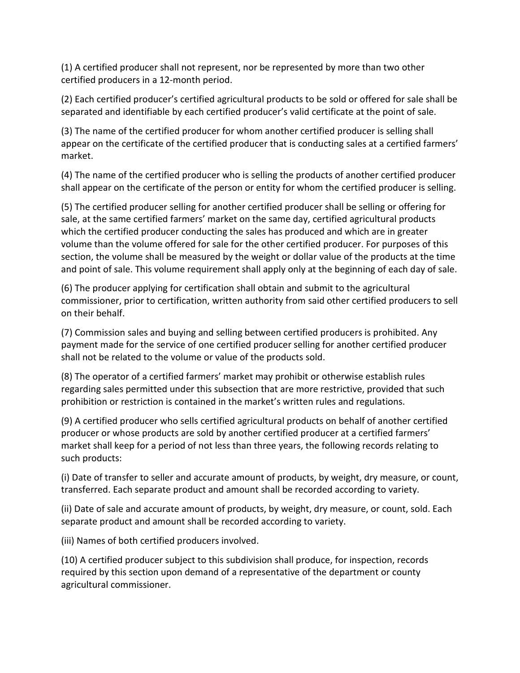(1) A certified producer shall not represent, nor be represented by more than two other certified producers in a 12-month period.

(2) Each certified producer's certified agricultural products to be sold or offered for sale shall be separated and identifiable by each certified producer's valid certificate at the point of sale.

(3) The name of the certified producer for whom another certified producer is selling shall appear on the certificate of the certified producer that is conducting sales at a certified farmers' market.

(4) The name of the certified producer who is selling the products of another certified producer shall appear on the certificate of the person or entity for whom the certified producer is selling.

(5) The certified producer selling for another certified producer shall be selling or offering for sale, at the same certified farmers' market on the same day, certified agricultural products which the certified producer conducting the sales has produced and which are in greater volume than the volume offered for sale for the other certified producer. For purposes of this section, the volume shall be measured by the weight or dollar value of the products at the time and point of sale. This volume requirement shall apply only at the beginning of each day of sale.

(6) The producer applying for certification shall obtain and submit to the agricultural commissioner, prior to certification, written authority from said other certified producers to sell on their behalf.

(7) Commission sales and buying and selling between certified producers is prohibited. Any payment made for the service of one certified producer selling for another certified producer shall not be related to the volume or value of the products sold.

(8) The operator of a certified farmers' market may prohibit or otherwise establish rules regarding sales permitted under this subsection that are more restrictive, provided that such prohibition or restriction is contained in the market's written rules and regulations.

(9) A certified producer who sells certified agricultural products on behalf of another certified producer or whose products are sold by another certified producer at a certified farmers' market shall keep for a period of not less than three years, the following records relating to such products:

(i) Date of transfer to seller and accurate amount of products, by weight, dry measure, or count, transferred. Each separate product and amount shall be recorded according to variety.

(ii) Date of sale and accurate amount of products, by weight, dry measure, or count, sold. Each separate product and amount shall be recorded according to variety.

(iii) Names of both certified producers involved.

(10) A certified producer subject to this subdivision shall produce, for inspection, records required by this section upon demand of a representative of the department or county agricultural commissioner.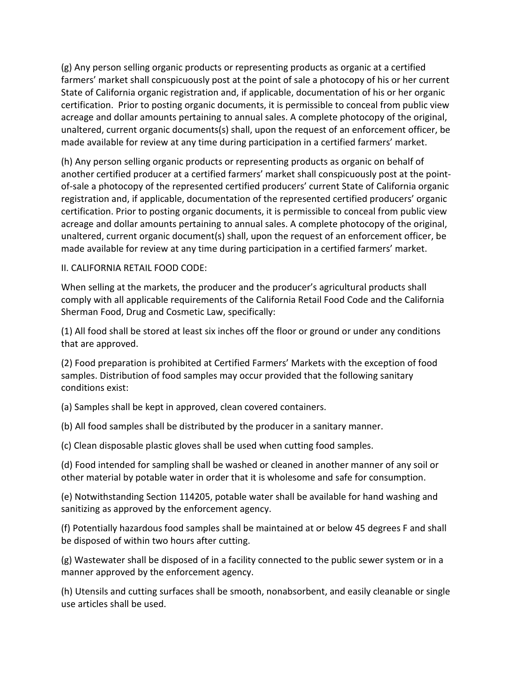(g) Any person selling organic products or representing products as organic at a certified farmers' market shall conspicuously post at the point of sale a photocopy of his or her current State of California organic registration and, if applicable, documentation of his or her organic certification. Prior to posting organic documents, it is permissible to conceal from public view acreage and dollar amounts pertaining to annual sales. A complete photocopy of the original, unaltered, current organic documents(s) shall, upon the request of an enforcement officer, be made available for review at any time during participation in a certified farmers' market.

(h) Any person selling organic products or representing products as organic on behalf of another certified producer at a certified farmers' market shall conspicuously post at the pointof-sale a photocopy of the represented certified producers' current State of California organic registration and, if applicable, documentation of the represented certified producers' organic certification. Prior to posting organic documents, it is permissible to conceal from public view acreage and dollar amounts pertaining to annual sales. A complete photocopy of the original, unaltered, current organic document(s) shall, upon the request of an enforcement officer, be made available for review at any time during participation in a certified farmers' market.

#### II. CALIFORNIA RETAIL FOOD CODE:

When selling at the markets, the producer and the producer's agricultural products shall comply with all applicable requirements of the California Retail Food Code and the California Sherman Food, Drug and Cosmetic Law, specifically:

(1) All food shall be stored at least six inches off the floor or ground or under any conditions that are approved.

(2) Food preparation is prohibited at Certified Farmers' Markets with the exception of food samples. Distribution of food samples may occur provided that the following sanitary conditions exist:

(a) Samples shall be kept in approved, clean covered containers.

(b) All food samples shall be distributed by the producer in a sanitary manner.

(c) Clean disposable plastic gloves shall be used when cutting food samples.

(d) Food intended for sampling shall be washed or cleaned in another manner of any soil or other material by potable water in order that it is wholesome and safe for consumption.

(e) Notwithstanding Section 114205, potable water shall be available for hand washing and sanitizing as approved by the enforcement agency.

(f) Potentially hazardous food samples shall be maintained at or below 45 degrees F and shall be disposed of within two hours after cutting.

(g) Wastewater shall be disposed of in a facility connected to the public sewer system or in a manner approved by the enforcement agency.

(h) Utensils and cutting surfaces shall be smooth, nonabsorbent, and easily cleanable or single use articles shall be used.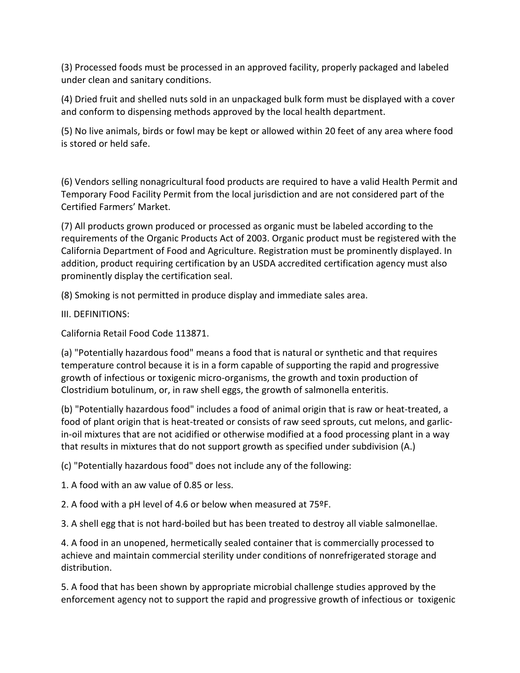(3) Processed foods must be processed in an approved facility, properly packaged and labeled under clean and sanitary conditions.

(4) Dried fruit and shelled nuts sold in an unpackaged bulk form must be displayed with a cover and conform to dispensing methods approved by the local health department.

(5) No live animals, birds or fowl may be kept or allowed within 20 feet of any area where food is stored or held safe.

(6) Vendors selling nonagricultural food products are required to have a valid Health Permit and Temporary Food Facility Permit from the local jurisdiction and are not considered part of the Certified Farmers' Market.

(7) All products grown produced or processed as organic must be labeled according to the requirements of the Organic Products Act of 2003. Organic product must be registered with the California Department of Food and Agriculture. Registration must be prominently displayed. In addition, product requiring certification by an USDA accredited certification agency must also prominently display the certification seal.

(8) Smoking is not permitted in produce display and immediate sales area.

III. DEFINITIONS:

California Retail Food Code 113871.

(a) "Potentially hazardous food" means a food that is natural or synthetic and that requires temperature control because it is in a form capable of supporting the rapid and progressive growth of infectious or toxigenic micro-organisms, the growth and toxin production of Clostridium botulinum, or, in raw shell eggs, the growth of salmonella enteritis.

(b) "Potentially hazardous food" includes a food of animal origin that is raw or heat-treated, a food of plant origin that is heat-treated or consists of raw seed sprouts, cut melons, and garlicin-oil mixtures that are not acidified or otherwise modified at a food processing plant in a way that results in mixtures that do not support growth as specified under subdivision (A.)

(c) "Potentially hazardous food" does not include any of the following:

1. A food with an aw value of 0.85 or less.

2. A food with a pH level of 4.6 or below when measured at 75ºF.

3. A shell egg that is not hard-boiled but has been treated to destroy all viable salmonellae.

4. A food in an unopened, hermetically sealed container that is commercially processed to achieve and maintain commercial sterility under conditions of nonrefrigerated storage and distribution.

5. A food that has been shown by appropriate microbial challenge studies approved by the enforcement agency not to support the rapid and progressive growth of infectious or toxigenic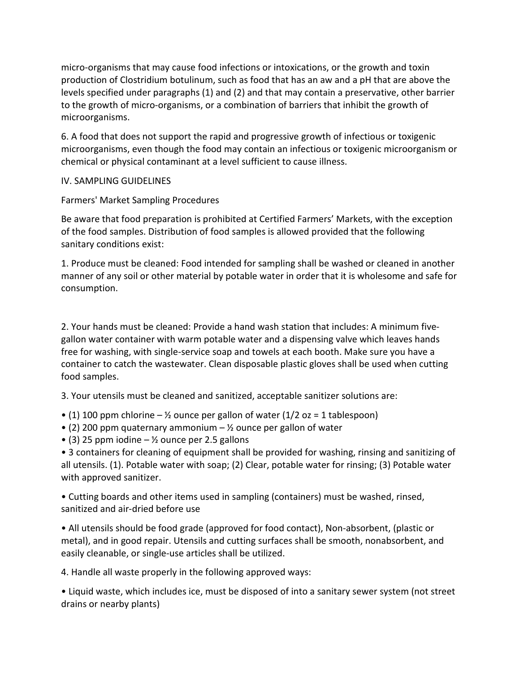micro-organisms that may cause food infections or intoxications, or the growth and toxin production of Clostridium botulinum, such as food that has an aw and a pH that are above the levels specified under paragraphs (1) and (2) and that may contain a preservative, other barrier to the growth of micro-organisms, or a combination of barriers that inhibit the growth of microorganisms.

6. A food that does not support the rapid and progressive growth of infectious or toxigenic microorganisms, even though the food may contain an infectious or toxigenic microorganism or chemical or physical contaminant at a level sufficient to cause illness.

# IV. SAMPLING GUIDELINES

Farmers' Market Sampling Procedures

Be aware that food preparation is prohibited at Certified Farmers' Markets, with the exception of the food samples. Distribution of food samples is allowed provided that the following sanitary conditions exist:

1. Produce must be cleaned: Food intended for sampling shall be washed or cleaned in another manner of any soil or other material by potable water in order that it is wholesome and safe for consumption.

2. Your hands must be cleaned: Provide a hand wash station that includes: A minimum fivegallon water container with warm potable water and a dispensing valve which leaves hands free for washing, with single-service soap and towels at each booth. Make sure you have a container to catch the wastewater. Clean disposable plastic gloves shall be used when cutting food samples.

3. Your utensils must be cleaned and sanitized, acceptable sanitizer solutions are:

- (1) 100 ppm chlorine  $-$  1/2 ounce per gallon of water (1/2 oz = 1 tablespoon)
- (2) 200 ppm quaternary ammonium  $-$  % ounce per gallon of water
- (3) 25 ppm iodine  $\frac{1}{2}$  ounce per 2.5 gallons

• 3 containers for cleaning of equipment shall be provided for washing, rinsing and sanitizing of all utensils. (1). Potable water with soap; (2) Clear, potable water for rinsing; (3) Potable water with approved sanitizer.

• Cutting boards and other items used in sampling (containers) must be washed, rinsed, sanitized and air-dried before use

• All utensils should be food grade (approved for food contact), Non-absorbent, (plastic or metal), and in good repair. Utensils and cutting surfaces shall be smooth, nonabsorbent, and easily cleanable, or single-use articles shall be utilized.

4. Handle all waste properly in the following approved ways:

• Liquid waste, which includes ice, must be disposed of into a sanitary sewer system (not street drains or nearby plants)